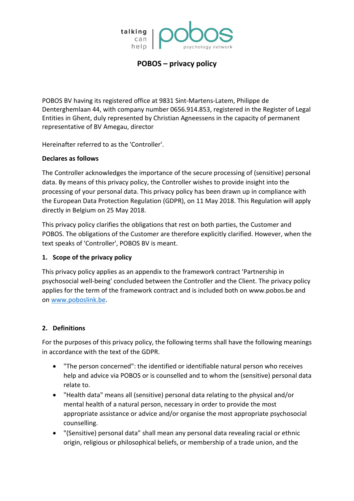

POBOS BV having its registered office at 9831 Sint-Martens-Latem, Philippe de Denterghemlaan 44, with company number 0656.914.853, registered in the Register of Legal Entities in Ghent, duly represented by Christian Agneessens in the capacity of permanent representative of BV Amegau, director

Hereinafter referred to as the 'Controller'.

### **Declares as follows**

The Controller acknowledges the importance of the secure processing of (sensitive) personal data. By means of this privacy policy, the Controller wishes to provide insight into the processing of your personal data. This privacy policy has been drawn up in compliance with the European Data Protection Regulation (GDPR), on 11 May 2018. This Regulation will apply directly in Belgium on 25 May 2018.

This privacy policy clarifies the obligations that rest on both parties, the Customer and POBOS. The obligations of the Customer are therefore explicitly clarified. However, when the text speaks of 'Controller', POBOS BV is meant.

## **1. Scope of the privacy policy**

This privacy policy applies as an appendix to the framework contract 'Partnership in psychosocial well-being' concluded between the Controller and the Client. The privacy policy applies for the term of the framework contract and is included both on www.pobos.be and on [www.poboslink.be.](http://www.poboslink.be/)

## **2. Definitions**

For the purposes of this privacy policy, the following terms shall have the following meanings in accordance with the text of the GDPR.

- "The person concerned": the identified or identifiable natural person who receives help and advice via POBOS or is counselled and to whom the (sensitive) personal data relate to.
- "Health data" means all (sensitive) personal data relating to the physical and/or mental health of a natural person, necessary in order to provide the most appropriate assistance or advice and/or organise the most appropriate psychosocial counselling.
- "(Sensitive) personal data" shall mean any personal data revealing racial or ethnic origin, religious or philosophical beliefs, or membership of a trade union, and the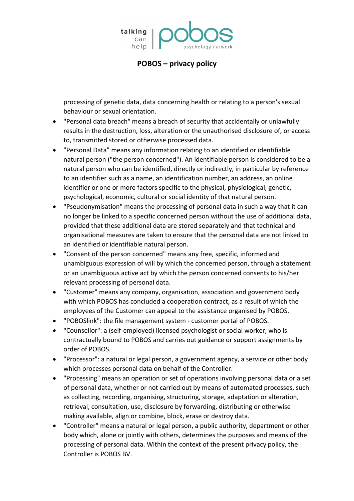

processing of genetic data, data concerning health or relating to a person's sexual behaviour or sexual orientation.

- "Personal data breach" means a breach of security that accidentally or unlawfully results in the destruction, loss, alteration or the unauthorised disclosure of, or access to, transmitted stored or otherwise processed data.
- "Personal Data" means any information relating to an identified or identifiable natural person ("the person concerned"). An identifiable person is considered to be a natural person who can be identified, directly or indirectly, in particular by reference to an identifier such as a name, an identification number, an address, an online identifier or one or more factors specific to the physical, physiological, genetic, psychological, economic, cultural or social identity of that natural person.
- "Pseudonymisation" means the processing of personal data in such a way that it can no longer be linked to a specific concerned person without the use of additional data, provided that these additional data are stored separately and that technical and organisational measures are taken to ensure that the personal data are not linked to an identified or identifiable natural person.
- "Consent of the person concerned" means any free, specific, informed and unambiguous expression of will by which the concerned person, through a statement or an unambiguous active act by which the person concerned consents to his/her relevant processing of personal data.
- "Customer" means any company, organisation, association and government body with which POBOS has concluded a cooperation contract, as a result of which the employees of the Customer can appeal to the assistance organised by POBOS.
- "POBOSlink": the file management system customer portal of POBOS.
- "Counsellor": a (self-employed) licensed psychologist or social worker, who is contractually bound to POBOS and carries out guidance or support assignments by order of POBOS.
- "Processor": a natural or legal person, a government agency, a service or other body which processes personal data on behalf of the Controller.
- "Processing" means an operation or set of operations involving personal data or a set of personal data, whether or not carried out by means of automated processes, such as collecting, recording, organising, structuring, storage, adaptation or alteration, retrieval, consultation, use, disclosure by forwarding, distributing or otherwise making available, align or combine, block, erase or destroy data.
- "Controller" means a natural or legal person, a public authority, department or other body which, alone or jointly with others, determines the purposes and means of the processing of personal data. Within the context of the present privacy policy, the Controller is POBOS BV.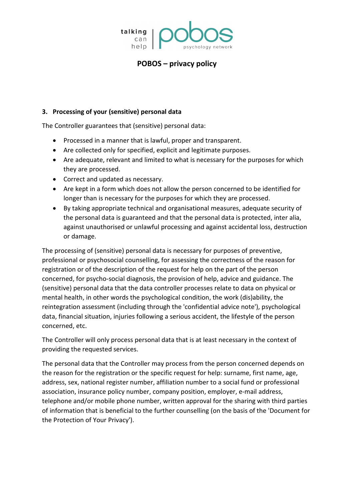

### **3. Processing of your (sensitive) personal data**

The Controller guarantees that (sensitive) personal data:

- Processed in a manner that is lawful, proper and transparent.
- Are collected only for specified, explicit and legitimate purposes.
- Are adequate, relevant and limited to what is necessary for the purposes for which they are processed.
- Correct and updated as necessary.
- Are kept in a form which does not allow the person concerned to be identified for longer than is necessary for the purposes for which they are processed.
- By taking appropriate technical and organisational measures, adequate security of the personal data is guaranteed and that the personal data is protected, inter alia, against unauthorised or unlawful processing and against accidental loss, destruction or damage.

The processing of (sensitive) personal data is necessary for purposes of preventive, professional or psychosocial counselling, for assessing the correctness of the reason for registration or of the description of the request for help on the part of the person concerned, for psycho-social diagnosis, the provision of help, advice and guidance. The (sensitive) personal data that the data controller processes relate to data on physical or mental health, in other words the psychological condition, the work (dis)ability, the reintegration assessment (including through the 'confidential advice note'), psychological data, financial situation, injuries following a serious accident, the lifestyle of the person concerned, etc.

The Controller will only process personal data that is at least necessary in the context of providing the requested services.

The personal data that the Controller may process from the person concerned depends on the reason for the registration or the specific request for help: surname, first name, age, address, sex, national register number, affiliation number to a social fund or professional association, insurance policy number, company position, employer, e-mail address, telephone and/or mobile phone number, written approval for the sharing with third parties of information that is beneficial to the further counselling (on the basis of the 'Document for the Protection of Your Privacy').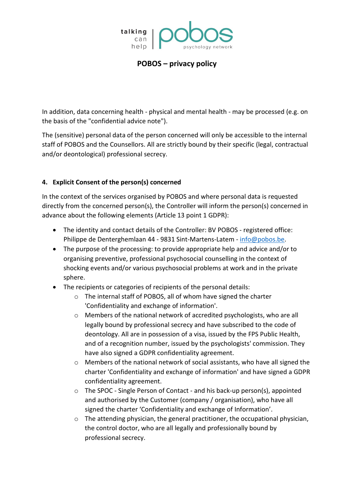

In addition, data concerning health - physical and mental health - may be processed (e.g. on the basis of the "confidential advice note").

The (sensitive) personal data of the person concerned will only be accessible to the internal staff of POBOS and the Counsellors. All are strictly bound by their specific (legal, contractual and/or deontological) professional secrecy.

## **4. Explicit Consent of the person(s) concerned**

In the context of the services organised by POBOS and where personal data is requested directly from the concerned person(s), the Controller will inform the person(s) concerned in advance about the following elements (Article 13 point 1 GDPR):

- The identity and contact details of the Controller: BV POBOS registered office: Philippe de Denterghemlaan 44 - 9831 Sint-Martens-Latem - [info@pobos.be.](mailto:info@pobos.be)
- The purpose of the processing: to provide appropriate help and advice and/or to organising preventive, professional psychosocial counselling in the context of shocking events and/or various psychosocial problems at work and in the private sphere.
- The recipients or categories of recipients of the personal details:
	- o The internal staff of POBOS, all of whom have signed the charter 'Confidentiality and exchange of information'.
	- o Members of the national network of accredited psychologists, who are all legally bound by professional secrecy and have subscribed to the code of deontology. All are in possession of a visa, issued by the FPS Public Health, and of a recognition number, issued by the psychologists' commission. They have also signed a GDPR confidentiality agreement.
	- $\circ$  Members of the national network of social assistants, who have all signed the charter 'Confidentiality and exchange of information' and have signed a GDPR confidentiality agreement.
	- o The SPOC Single Person of Contact and his back-up person(s), appointed and authorised by the Customer (company / organisation), who have all signed the charter 'Confidentiality and exchange of Information'.
	- $\circ$  The attending physician, the general practitioner, the occupational physician, the control doctor, who are all legally and professionally bound by professional secrecy.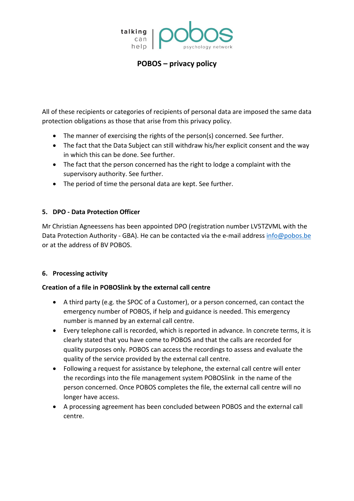

All of these recipients or categories of recipients of personal data are imposed the same data protection obligations as those that arise from this privacy policy.

- The manner of exercising the rights of the person(s) concerned. See further.
- The fact that the Data Subject can still withdraw his/her explicit consent and the way in which this can be done. See further.
- The fact that the person concerned has the right to lodge a complaint with the supervisory authority. See further.
- The period of time the personal data are kept. See further.

## **5. DPO - Data Protection Officer**

Mr Christian Agneessens has been appointed DPO (registration number LV5TZVML with the Data Protection Authority - GBA). He can be contacted via the e-mail address [info@pobos.be](mailto:info@pobos.be) or at the address of BV POBOS.

## **6. Processing activity**

## **Creation of a file in POBOSlink by the external call centre**

- A third party (e.g. the SPOC of a Customer), or a person concerned, can contact the emergency number of POBOS, if help and guidance is needed. This emergency number is manned by an external call centre.
- Every telephone call is recorded, which is reported in advance. In concrete terms, it is clearly stated that you have come to POBOS and that the calls are recorded for quality purposes only. POBOS can access the recordings to assess and evaluate the quality of the service provided by the external call centre.
- Following a request for assistance by telephone, the external call centre will enter the recordings into the file management system POBOSlink in the name of the person concerned. Once POBOS completes the file, the external call centre will no longer have access.
- A processing agreement has been concluded between POBOS and the external call centre.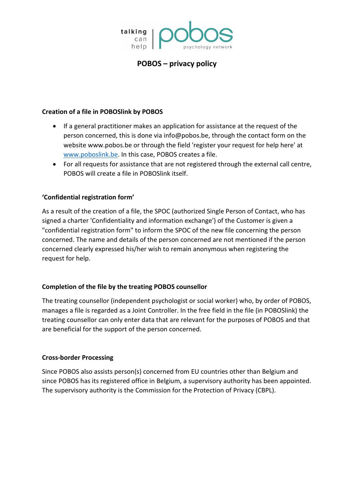

### **Creation of a file in POBOSlink by POBOS**

- If a general practitioner makes an application for assistance at the request of the person concerned, this is done via info@pobos.be, through the contact form on the website www.pobos.be or through the field 'register your request for help here' at [www.poboslink.be.](http://www.poboslink.be/) In this case, POBOS creates a file.
- For all requests for assistance that are not registered through the external call centre, POBOS will create a file in POBOSlink itself.

## **'Confidential registration form'**

As a result of the creation of a file, the SPOC (authorized Single Person of Contact, who has signed a charter 'Confidentiality and information exchange') of the Customer is given a "confidential registration form" to inform the SPOC of the new file concerning the person concerned. The name and details of the person concerned are not mentioned if the person concerned clearly expressed his/her wish to remain anonymous when registering the request for help.

## **Completion of the file by the treating POBOS counsellor**

The treating counsellor (independent psychologist or social worker) who, by order of POBOS, manages a file is regarded as a Joint Controller. In the free field in the file (in POBOSlink) the treating counsellor can only enter data that are relevant for the purposes of POBOS and that are beneficial for the support of the person concerned.

#### **Cross-border Processing**

Since POBOS also assists person(s) concerned from EU countries other than Belgium and since POBOS has its registered office in Belgium, a supervisory authority has been appointed. The supervisory authority is the Commission for the Protection of Privacy (CBPL).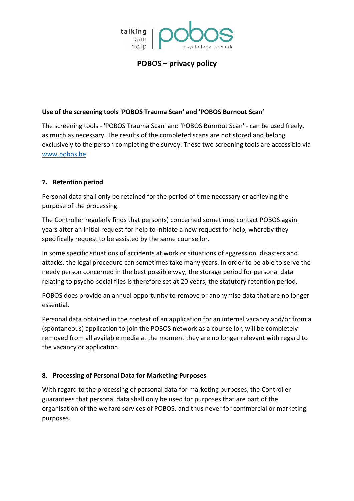

### **Use of the screening tools 'POBOS Trauma Scan' and 'POBOS Burnout Scan'**

The screening tools - 'POBOS Trauma Scan' and 'POBOS Burnout Scan' - can be used freely, as much as necessary. The results of the completed scans are not stored and belong exclusively to the person completing the survey. These two screening tools are accessible via [www.pobos.be.](http://www.pobos.be/)

### **7. Retention period**

Personal data shall only be retained for the period of time necessary or achieving the purpose of the processing.

The Controller regularly finds that person(s) concerned sometimes contact POBOS again years after an initial request for help to initiate a new request for help, whereby they specifically request to be assisted by the same counsellor.

In some specific situations of accidents at work or situations of aggression, disasters and attacks, the legal procedure can sometimes take many years. In order to be able to serve the needy person concerned in the best possible way, the storage period for personal data relating to psycho-social files is therefore set at 20 years, the statutory retention period.

POBOS does provide an annual opportunity to remove or anonymise data that are no longer essential.

Personal data obtained in the context of an application for an internal vacancy and/or from a (spontaneous) application to join the POBOS network as a counsellor, will be completely removed from all available media at the moment they are no longer relevant with regard to the vacancy or application.

## **8. Processing of Personal Data for Marketing Purposes**

With regard to the processing of personal data for marketing purposes, the Controller guarantees that personal data shall only be used for purposes that are part of the organisation of the welfare services of POBOS, and thus never for commercial or marketing purposes.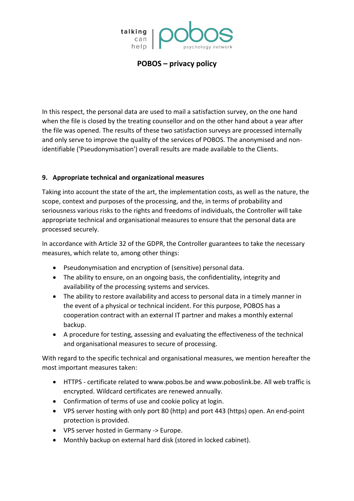

In this respect, the personal data are used to mail a satisfaction survey, on the one hand when the file is closed by the treating counsellor and on the other hand about a year after the file was opened. The results of these two satisfaction surveys are processed internally and only serve to improve the quality of the services of POBOS. The anonymised and nonidentifiable ('Pseudonymisation') overall results are made available to the Clients.

## **9. Appropriate technical and organizational measures**

Taking into account the state of the art, the implementation costs, as well as the nature, the scope, context and purposes of the processing, and the, in terms of probability and seriousness various risks to the rights and freedoms of individuals, the Controller will take appropriate technical and organisational measures to ensure that the personal data are processed securely.

In accordance with Article 32 of the GDPR, the Controller guarantees to take the necessary measures, which relate to, among other things:

- Pseudonymisation and encryption of (sensitive) personal data.
- The ability to ensure, on an ongoing basis, the confidentiality, integrity and availability of the processing systems and services.
- The ability to restore availability and access to personal data in a timely manner in the event of a physical or technical incident. For this purpose, POBOS has a cooperation contract with an external IT partner and makes a monthly external backup.
- A procedure for testing, assessing and evaluating the effectiveness of the technical and organisational measures to secure of processing.

With regard to the specific technical and organisational measures, we mention hereafter the most important measures taken:

- HTTPS certificate related to www.pobos.be and www.poboslink.be. All web traffic is encrypted. Wildcard certificates are renewed annually.
- Confirmation of terms of use and cookie policy at login.
- VPS server hosting with only port 80 (http) and port 443 (https) open. An end-point protection is provided.
- VPS server hosted in Germany -> Europe.
- Monthly backup on external hard disk (stored in locked cabinet).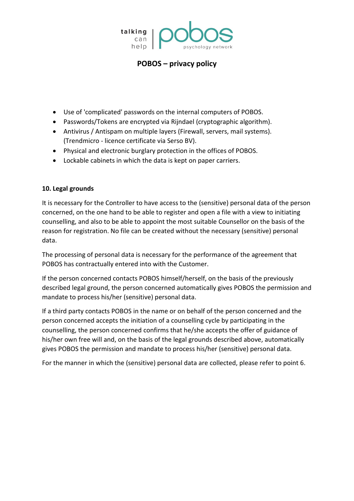

- Use of 'complicated' passwords on the internal computers of POBOS.
- Passwords/Tokens are encrypted via Rijndael (cryptographic algorithm).
- Antivirus / Antispam on multiple layers (Firewall, servers, mail systems). (Trendmicro - licence certificate via Serso BV).
- Physical and electronic burglary protection in the offices of POBOS.
- Lockable cabinets in which the data is kept on paper carriers.

## **10. Legal grounds**

It is necessary for the Controller to have access to the (sensitive) personal data of the person concerned, on the one hand to be able to register and open a file with a view to initiating counselling, and also to be able to appoint the most suitable Counsellor on the basis of the reason for registration. No file can be created without the necessary (sensitive) personal data.

The processing of personal data is necessary for the performance of the agreement that POBOS has contractually entered into with the Customer.

If the person concerned contacts POBOS himself/herself, on the basis of the previously described legal ground, the person concerned automatically gives POBOS the permission and mandate to process his/her (sensitive) personal data.

If a third party contacts POBOS in the name or on behalf of the person concerned and the person concerned accepts the initiation of a counselling cycle by participating in the counselling, the person concerned confirms that he/she accepts the offer of guidance of his/her own free will and, on the basis of the legal grounds described above, automatically gives POBOS the permission and mandate to process his/her (sensitive) personal data.

For the manner in which the (sensitive) personal data are collected, please refer to point 6.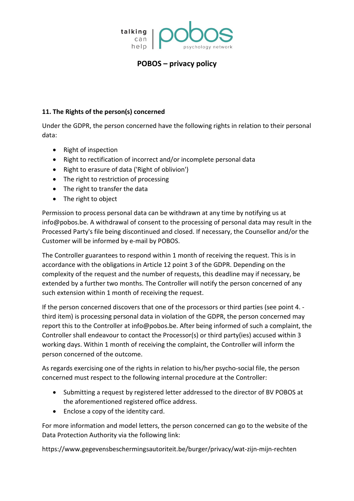

## **11. The Rights of the person(s) concerned**

Under the GDPR, the person concerned have the following rights in relation to their personal data:

- Right of inspection
- Right to rectification of incorrect and/or incomplete personal data
- Right to erasure of data ('Right of oblivion')
- The right to restriction of processing
- The right to transfer the data
- The right to object

Permission to process personal data can be withdrawn at any time by notifying us at info@pobos.be. A withdrawal of consent to the processing of personal data may result in the Processed Party's file being discontinued and closed. If necessary, the Counsellor and/or the Customer will be informed by e-mail by POBOS.

The Controller guarantees to respond within 1 month of receiving the request. This is in accordance with the obligations in Article 12 point 3 of the GDPR. Depending on the complexity of the request and the number of requests, this deadline may if necessary, be extended by a further two months. The Controller will notify the person concerned of any such extension within 1 month of receiving the request.

If the person concerned discovers that one of the processors or third parties (see point 4. third item) is processing personal data in violation of the GDPR, the person concerned may report this to the Controller at info@pobos.be. After being informed of such a complaint, the Controller shall endeavour to contact the Processor(s) or third party(ies) accused within 3 working days. Within 1 month of receiving the complaint, the Controller will inform the person concerned of the outcome.

As regards exercising one of the rights in relation to his/her psycho-social file, the person concerned must respect to the following internal procedure at the Controller:

- Submitting a request by registered letter addressed to the director of BV POBOS at the aforementioned registered office address.
- Enclose a copy of the identity card.

For more information and model letters, the person concerned can go to the website of the Data Protection Authority via the following link:

https://www.gegevensbeschermingsautoriteit.be/burger/privacy/wat-zijn-mijn-rechten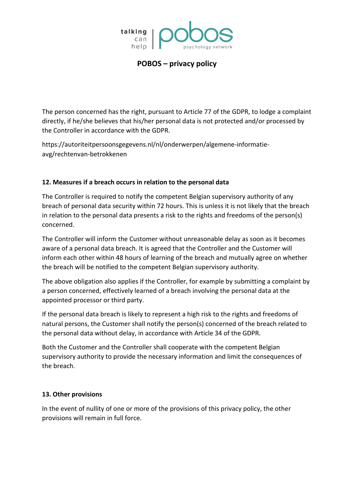

The person concerned has the right, pursuant to Article 77 of the GDPR, to lodge a complaint directly, if he/she believes that his/her personal data is not protected and/or processed by the Controller in accordance with the GDPR.

https://autoriteitpersoonsgegevens.nl/nl/onderwerpen/algemene-informatieavg/rechtenvan-betrokkenen

## **12. Measures if a breach occurs in relation to the personal data**

The Controller is required to notify the competent Belgian supervisory authority of any breach of personal data security within 72 hours. This is unless it is not likely that the breach in relation to the personal data presents a risk to the rights and freedoms of the person(s) concerned.

The Controller will inform the Customer without unreasonable delay as soon as it becomes aware of a personal data breach. It is agreed that the Controller and the Customer will inform each other within 48 hours of learning of the breach and mutually agree on whether the breach will be notified to the competent Belgian supervisory authority.

The above obligation also applies if the Controller, for example by submitting a complaint by a person concerned, effectively learned of a breach involving the personal data at the appointed processor or third party.

If the personal data breach is likely to represent a high risk to the rights and freedoms of natural persons, the Customer shall notify the person(s) concerned of the breach related to the personal data without delay, in accordance with Article 34 of the GDPR.

Both the Customer and the Controller shall cooperate with the competent Belgian supervisory authority to provide the necessary information and limit the consequences of the breach.

## **13. Other provisions**

In the event of nullity of one or more of the provisions of this privacy policy, the other provisions will remain in full force.